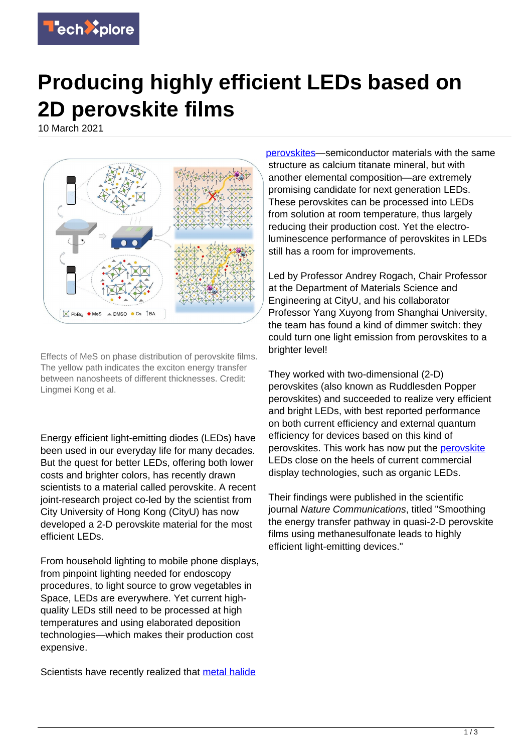

## **Producing highly efficient LEDs based on 2D perovskite films**

10 March 2021



Effects of MeS on phase distribution of perovskite films. The yellow path indicates the exciton energy transfer between nanosheets of different thicknesses. Credit: Lingmei Kong et al.

Energy efficient light-emitting diodes (LEDs) have been used in our everyday life for many decades. But the quest for better LEDs, offering both lower costs and brighter colors, has recently drawn scientists to a material called perovskite. A recent joint-research project co-led by the scientist from City University of Hong Kong (CityU) has now developed a 2-D perovskite material for the most efficient LEDs.

From household lighting to mobile phone displays, from pinpoint lighting needed for endoscopy procedures, to light source to grow vegetables in Space, LEDs are everywhere. Yet current highquality LEDs still need to be processed at high temperatures and using elaborated deposition technologies—which makes their production cost expensive.

Scientists have recently realized that [metal halide](https://techxplore.com/tags/metal+halide+perovskites/)

[perovskites](https://techxplore.com/tags/metal+halide+perovskites/)—semiconductor materials with the same structure as calcium titanate mineral, but with another elemental composition—are extremely promising candidate for next generation LEDs. These perovskites can be processed into LEDs from solution at room temperature, thus largely reducing their production cost. Yet the electroluminescence performance of perovskites in LEDs still has a room for improvements.

Led by Professor Andrey Rogach, Chair Professor at the Department of Materials Science and Engineering at CityU, and his collaborator Professor Yang Xuyong from Shanghai University, the team has found a kind of dimmer switch: they could turn one light emission from perovskites to a brighter level!

They worked with two-dimensional (2-D) perovskites (also known as Ruddlesden Popper perovskites) and succeeded to realize very efficient and bright LEDs, with best reported performance on both current efficiency and external quantum efficiency for devices based on this kind of perovskites. This work has now put the [perovskite](https://techxplore.com/tags/perovskite/) LEDs close on the heels of current commercial display technologies, such as organic LEDs.

Their findings were published in the scientific journal Nature Communications, titled "Smoothing the energy transfer pathway in quasi-2-D perovskite films using methanesulfonate leads to highly efficient light-emitting devices."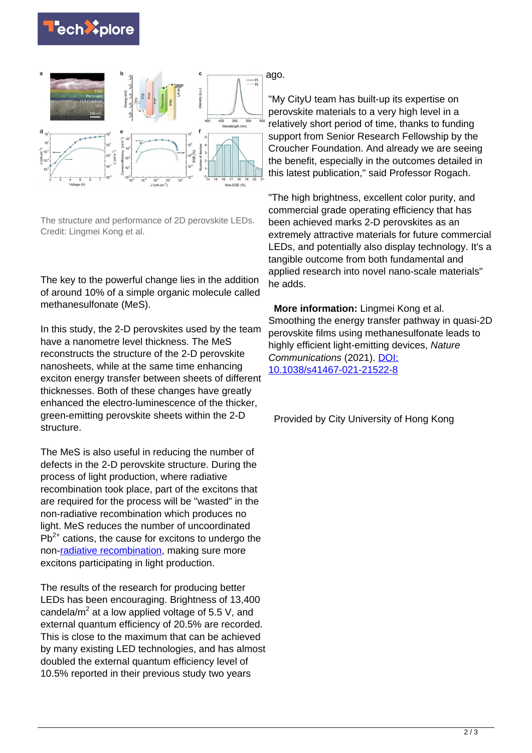



The structure and performance of 2D perovskite LEDs. Credit: Lingmei Kong et al.

The key to the powerful change lies in the addition of around 10% of a simple organic molecule called methanesulfonate (MeS).

In this study, the 2-D perovskites used by the team have a nanometre level thickness. The MeS reconstructs the structure of the 2-D perovskite nanosheets, while at the same time enhancing exciton energy transfer between sheets of different thicknesses. Both of these changes have greatly enhanced the electro-luminescence of the thicker, green-emitting perovskite sheets within the 2-D structure.

The MeS is also useful in reducing the number of defects in the 2-D perovskite structure. During the process of light production, where radiative recombination took place, part of the excitons that are required for the process will be "wasted" in the non-radiative recombination which produces no light. MeS reduces the number of uncoordinated  $Pb^{2+}$  cations, the cause for excitons to undergo the non[-radiative recombination](https://techxplore.com/tags/radiative+recombination/), making sure more excitons participating in light production.

The results of the research for producing better LEDs has been encouraging. Brightness of 13,400 candela/ $m^2$  at a low applied voltage of 5.5 V, and external quantum efficiency of 20.5% are recorded. This is close to the maximum that can be achieved by many existing LED technologies, and has almost doubled the external quantum efficiency level of 10.5% reported in their previous study two years

ago.

"My CityU team has built-up its expertise on perovskite materials to a very high level in a relatively short period of time, thanks to funding support from Senior Research Fellowship by the Croucher Foundation. And already we are seeing the benefit, especially in the outcomes detailed in this latest publication," said Professor Rogach.

"The high brightness, excellent color purity, and commercial grade operating efficiency that has been achieved marks 2-D perovskites as an extremely attractive materials for future commercial LEDs, and potentially also display technology. It's a tangible outcome from both fundamental and applied research into novel nano-scale materials" he adds.

 **More information:** Lingmei Kong et al. Smoothing the energy transfer pathway in quasi-2D perovskite films using methanesulfonate leads to highly efficient light-emitting devices, Nature Communications (2021). [DOI:](http://dx.doi.org/10.1038/s41467-021-21522-8) [10.1038/s41467-021-21522-8](http://dx.doi.org/10.1038/s41467-021-21522-8)

Provided by City University of Hong Kong